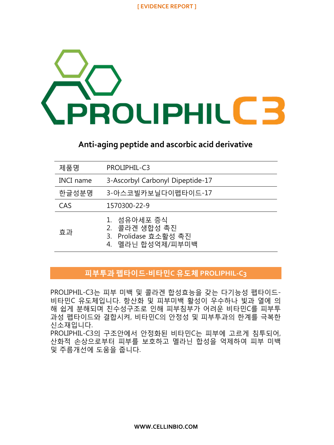# **ROUPHILE:**

## **Anti-aging peptide and ascorbic acid derivative**

| 제품명              | PROLIPHIL-C3                                                             |
|------------------|--------------------------------------------------------------------------|
| <b>INCI</b> name | 3-Ascorbyl Carbonyl Dipeptide-17                                         |
| 한글성분명            | 3-아스코빌카보닐다이펩타이드-17                                                       |
| CAS              | 1570300-22-9                                                             |
| 효과               | 1. 섬유아세포 증식<br>2. 콜라겐 생합성 촉진<br>3. Prolidase 효소활성 촉진<br>4. 멜라닌 합성억제/피부미백 |

#### 피부투과 펩타이드**-**비타민**C** 유도체 **PROLIPHIL-C3**

PROLIPHIL-C3는 피부 미백 및 콜라겐 합성효능을 갖는 다기능성 펩타이드-비타민C 유도체입니다. 항산화 및 피부미백 활성이 우수하나 빛과 열에 의 해 쉽게 분해되며 친수성구조로 인해 피부침부가 어려운 비타민C를 피부투 과성 펩타이드와 결합시켜, 비타민C의 안정성 및 피부투과의 한계를 극복한 신소재입니다.

PROLIPHIL-C3의 구조안에서 안정화된 비타민C는 피부에 고르게 침투되어, 산화적 손상으로부터 피부를 보호하고 멜라닌 합성을 억제하여 피부 미백 및 주름개선에 도움을 줍니다.